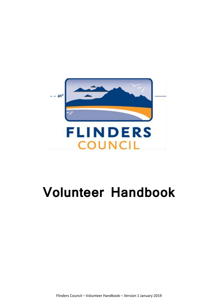

# **Volunteer Handbook**

Flinders Council – Volunteer Handbook – Version 1 January 2019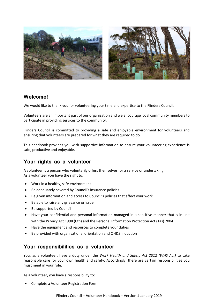

## **Welcome!**

We would like to thank you for volunteering your time and expertise to the Flinders Council.

Volunteers are an important part of our organisation and we encourage local community members to participate in providing services to the community.

Flinders Council is committed to providing a safe and enjoyable environment for volunteers and ensuring that volunteers are prepared for what they are required to do.

This handbook provides you with supportive information to ensure your volunteering experience is safe, productive and enjoyable.

# **Your rights as a volunteer**

A volunteer is a person who voluntarily offers themselves for a service or undertaking. As a volunteer you have the right to:

- Work in a healthy, safe environment
- Be adequately covered by Council's insurance policies
- Be given information and access to Council's policies that affect your work
- Be able to raise any grievance or issue
- Be supported by Council
- Have your confidential and personal information managed in a sensitive manner that is in line with the Privacy Act 1998 (Cth) and the Personal Information Protection Act (Tas) 2004
- Have the equipment and resources to complete your duties
- Be provided with organisational orientation and OH&S Induction

### **Your responsibilities as a volunteer**

You, as a volunteer, have a duty under the *Work Health and Safety Act 2012 (WHS Act)* to take reasonable care for your own health and safety. Accordingly, there are certain responsibilities you must meet in your role.

As a volunteer, you have a responsibility to:

• Complete a Volunteer Registration Form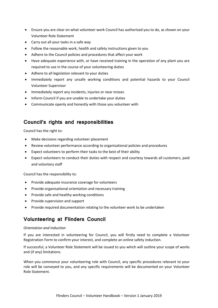- Ensure you are clear on what volunteer work Council has authorised you to do, as shown on your Volunteer Role Statement
- Carry out all your tasks in a safe way
- Follow the reasonable work, health and safety instructions given to you
- Adhere to the Council policies and procedures that affect your work
- Have adequate experience with, or have received training in the operation of any plant you are required to use in the course of your volunteering duties
- Adhere to all legislation relevant to your duties
- Immediately report any unsafe working conditions and potential hazards to your Council Volunteer Supervisor
- Immediately report any incidents, injuries or near misses
- Inform Council if you are unable to undertake your duties
- Communicate openly and honestly with those you volunteer with

## **Council's rights and responsibilities**

Council has the right to:

- Make decisions regarding volunteer placement
- Review volunteer performance according to organisational policies and procedures
- Expect volunteers to perform their tasks to the best of their ability
- Expect volunteers to conduct their duties with respect and courtesy towards all customers, paid and voluntary staff

Council has the responsibility to:

- Provide adequate insurance coverage for volunteers
- Provide organisational orientation and necessary training
- Provide safe and healthy working conditions
- Provide supervision and support
- Provide required documentation relating to the volunteer work to be undertaken

# **Volunteering at Flinders Council**

#### *Orientation and Induction*

If you are interested in volunteering for Council, you will firstly need to complete a Volunteer Registration Form to confirm your interest, and complete an online safety induction.

If successful, a Volunteer Role Statement will be issued to you which will outline your scope of works and (if any) limitations.

When you commence your volunteering role with Council, any specific procedures relevant to your role will be conveyed to you, and any specific requirements will be documented on your Volunteer Role Statement.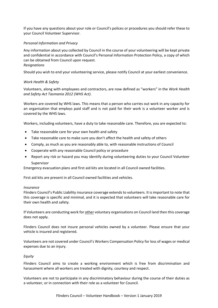If you have any questions about your role or Council's polices or procedures you should refer these to your Council Volunteer Supervisor.

#### *Personal Information and Privacy*

Any information about you collected by Council in the course of your volunteering will be kept private and confidential in accordance with Council's Personal Information Protection Policy, a copy of which can be obtained from Council upon request. *Resignations*

#### Should you wish to end your volunteering service, please notify Council at your earliest convenience.

#### *Work Health & Safety*

Volunteers, along with employees and contractors, are now defined as "workers" in the *Work Health and Safety Act Tasmania 2012 (WHS Act).*

Workers are covered by WHS laws. This means that a person who carries out work in any capacity for an organisation that employs paid staff and is not paid for their work is a volunteer worker and is covered by the WHS laws.

Workers, including volunteers, have a duty to take reasonable care. Therefore, you are expected to:

- Take reasonable care for your own health and safety
- Take reasonable care to make sure you don't affect the health and safety of others
- Comply, as much as you are reasonably able to, with reasonable instructions of Council
- Cooperate with any reasonable Council policy or procedure
- Report any risk or hazard you may identify during volunteering duties to your Council Volunteer Supervisor

Emergency evacuation plans and first aid kits are located in all Council owned facilities.

First aid kits are present in all Council owned facilities and vehicles.

#### *Insurance*

Flinders Council's Public Liability insurance coverage extends to volunteers. It is important to note that this coverage is specific and minimal, and it is expected that volunteers will take reasonable care for their own health and safety.

If Volunteers are conducting work for other voluntary organisations on Council land then this coverage does not apply.

Flinders Council does not insure personal vehicles owned by a volunteer. Please ensure that your vehicle is insured and registered.

Volunteers are not covered under Council's Workers Compensation Policy for loss of wages or medical expenses due to an injury.

#### *Equity*

Flinders Council aims to create a working environment which is free from discrimination and harassment where all workers are treated with dignity, courtesy and respect.

Volunteers are not to participate in any discriminatory behaviour during the course of their duties as a volunteer, or in connection with their role as a volunteer for Council.